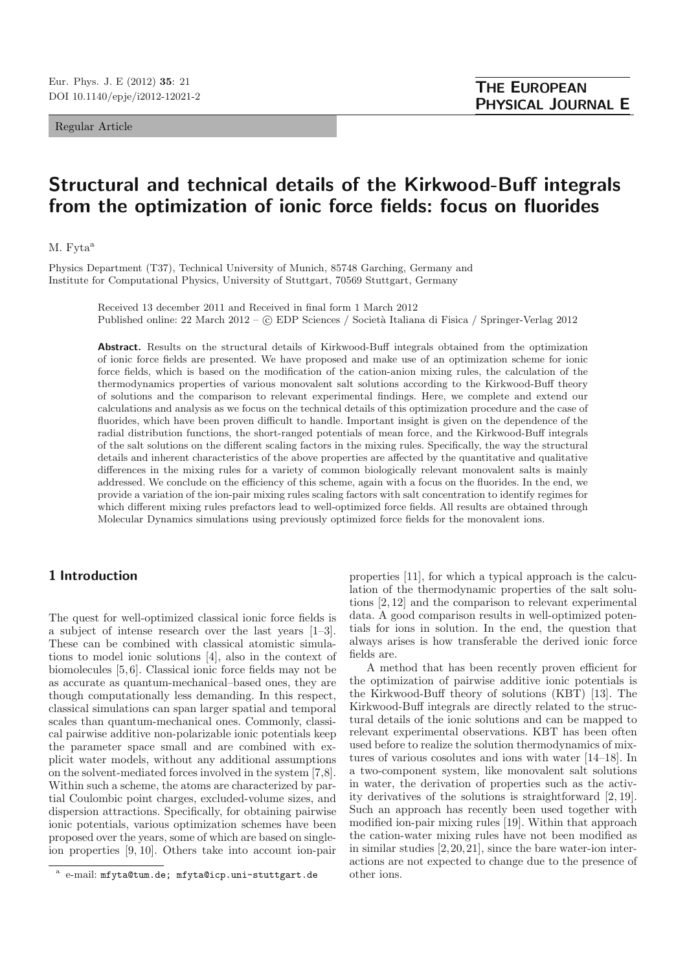Regular Article

# **Structural and technical details of the Kirkwood-Buff integrals from the optimization of ionic force fields: focus on fluorides**

M. Fyta<sup>a</sup>

Physics Department (T37), Technical University of Munich, 85748 Garching, Germany and Institute for Computational Physics, University of Stuttgart, 70569 Stuttgart, Germany

> Received 13 december 2011 and Received in final form 1 March 2012 Published online: 22 March 2012 – © EDP Sciences / Società Italiana di Fisica / Springer-Verlag 2012

**Abstract.** Results on the structural details of Kirkwood-Buff integrals obtained from the optimization of ionic force fields are presented. We have proposed and make use of an optimization scheme for ionic force fields, which is based on the modification of the cation-anion mixing rules, the calculation of the thermodynamics properties of various monovalent salt solutions according to the Kirkwood-Buff theory of solutions and the comparison to relevant experimental findings. Here, we complete and extend our calculations and analysis as we focus on the technical details of this optimization procedure and the case of fluorides, which have been proven difficult to handle. Important insight is given on the dependence of the radial distribution functions, the short-ranged potentials of mean force, and the Kirkwood-Buff integrals of the salt solutions on the different scaling factors in the mixing rules. Specifically, the way the structural details and inherent characteristics of the above properties are affected by the quantitative and qualitative differences in the mixing rules for a variety of common biologically relevant monovalent salts is mainly addressed. We conclude on the efficiency of this scheme, again with a focus on the fluorides. In the end, we provide a variation of the ion-pair mixing rules scaling factors with salt concentration to identify regimes for which different mixing rules prefactors lead to well-optimized force fields. All results are obtained through Molecular Dynamics simulations using previously optimized force fields for the monovalent ions.

# **1 Introduction**

The quest for well-optimized classical ionic force fields is a subject of intense research over the last years [1–3]. These can be combined with classical atomistic simulations to model ionic solutions [4], also in the context of biomolecules [5,6]. Classical ionic force fields may not be as accurate as quantum-mechanical–based ones, they are though computationally less demanding. In this respect, classical simulations can span larger spatial and temporal scales than quantum-mechanical ones. Commonly, classical pairwise additive non-polarizable ionic potentials keep the parameter space small and are combined with explicit water models, without any additional assumptions on the solvent-mediated forces involved in the system [7,8]. Within such a scheme, the atoms are characterized by partial Coulombic point charges, excluded-volume sizes, and dispersion attractions. Specifically, for obtaining pairwise ionic potentials, various optimization schemes have been proposed over the years, some of which are based on singleion properties [9, 10]. Others take into account ion-pair

properties [11], for which a typical approach is the calculation of the thermodynamic properties of the salt solutions [2,12] and the comparison to relevant experimental data. A good comparison results in well-optimized potentials for ions in solution. In the end, the question that always arises is how transferable the derived ionic force fields are.

A method that has been recently proven efficient for the optimization of pairwise additive ionic potentials is the Kirkwood-Buff theory of solutions (KBT) [13]. The Kirkwood-Buff integrals are directly related to the structural details of the ionic solutions and can be mapped to relevant experimental observations. KBT has been often used before to realize the solution thermodynamics of mixtures of various cosolutes and ions with water [14–18]. In a two-component system, like monovalent salt solutions in water, the derivation of properties such as the activity derivatives of the solutions is straightforward [2, 19]. Such an approach has recently been used together with modified ion-pair mixing rules [19]. Within that approach the cation-water mixing rules have not been modified as in similar studies [2,20,21], since the bare water-ion interactions are not expected to change due to the presence of other ions.

e-mail: mfyta@tum.de; mfyta@icp.uni-stuttgart.de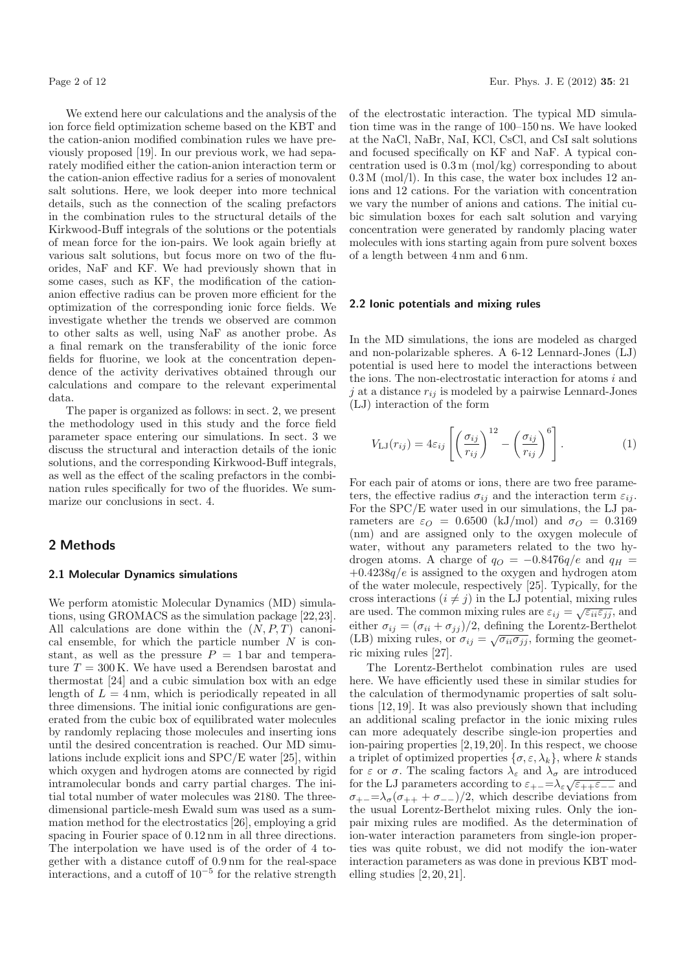We extend here our calculations and the analysis of the ion force field optimization scheme based on the KBT and the cation-anion modified combination rules we have previously proposed [19]. In our previous work, we had separately modified either the cation-anion interaction term or the cation-anion effective radius for a series of monovalent salt solutions. Here, we look deeper into more technical details, such as the connection of the scaling prefactors in the combination rules to the structural details of the Kirkwood-Buff integrals of the solutions or the potentials of mean force for the ion-pairs. We look again briefly at various salt solutions, but focus more on two of the fluorides, NaF and KF. We had previously shown that in some cases, such as KF, the modification of the cationanion effective radius can be proven more efficient for the optimization of the corresponding ionic force fields. We investigate whether the trends we observed are common to other salts as well, using NaF as another probe. As a final remark on the transferability of the ionic force fields for fluorine, we look at the concentration dependence of the activity derivatives obtained through our calculations and compare to the relevant experimental data.

The paper is organized as follows: in sect. 2, we present the methodology used in this study and the force field parameter space entering our simulations. In sect. 3 we discuss the structural and interaction details of the ionic solutions, and the corresponding Kirkwood-Buff integrals, as well as the effect of the scaling prefactors in the combination rules specifically for two of the fluorides. We summarize our conclusions in sect. 4.

# **2 Methods**

### **2.1 Molecular Dynamics simulations**

We perform atomistic Molecular Dynamics (MD) simulations, using GROMACS as the simulation package [22,23]. All calculations are done within the  $(N, P, T)$  canonical ensemble, for which the particle number  $N$  is constant, as well as the pressure  $P = 1$  bar and temperature  $T = 300$  K. We have used a Berendsen barostat and thermostat [24] and a cubic simulation box with an edge length of  $L = 4$  nm, which is periodically repeated in all three dimensions. The initial ionic configurations are generated from the cubic box of equilibrated water molecules by randomly replacing those molecules and inserting ions until the desired concentration is reached. Our MD simulations include explicit ions and SPC/E water [25], within which oxygen and hydrogen atoms are connected by rigid intramolecular bonds and carry partial charges. The initial total number of water molecules was 2180. The threedimensional particle-mesh Ewald sum was used as a summation method for the electrostatics [26], employing a grid spacing in Fourier space of 0.12 nm in all three directions. The interpolation we have used is of the order of 4 together with a distance cutoff of 0.9 nm for the real-space interactions, and a cutoff of  $10^{-5}$  for the relative strength of the electrostatic interaction. The typical MD simulation time was in the range of 100–150 ns. We have looked at the NaCl, NaBr, NaI, KCl, CsCl, and CsI salt solutions and focused specifically on KF and NaF. A typical concentration used is 0.3 m (mol/kg) corresponding to about 0.3 M (mol/l). In this case, the water box includes 12 anions and 12 cations. For the variation with concentration we vary the number of anions and cations. The initial cubic simulation boxes for each salt solution and varying concentration were generated by randomly placing water molecules with ions starting again from pure solvent boxes of a length between 4 nm and 6 nm.

### **2.2 Ionic potentials and mixing rules**

In the MD simulations, the ions are modeled as charged and non-polarizable spheres. A 6-12 Lennard-Jones (LJ) potential is used here to model the interactions between the ions. The non-electrostatic interaction for atoms  $i$  and j at a distance  $r_{ij}$  is modeled by a pairwise Lennard-Jones (LJ) interaction of the form

$$
V_{\text{LJ}}(r_{ij}) = 4\varepsilon_{ij} \left[ \left( \frac{\sigma_{ij}}{r_{ij}} \right)^{12} - \left( \frac{\sigma_{ij}}{r_{ij}} \right)^{6} \right]. \tag{1}
$$

For each pair of atoms or ions, there are two free parameters, the effective radius  $\sigma_{ij}$  and the interaction term  $\varepsilon_{ij}$ . For the SPC/E water used in our simulations, the LJ parameters are  $\varepsilon_O = 0.6500$  (kJ/mol) and  $\sigma_O = 0.3169$ (nm) and are assigned only to the oxygen molecule of water, without any parameters related to the two hydrogen atoms. A charge of  $q_O = -0.8476q/e$  and  $q_H$  =  $+0.4238q/e$  is assigned to the oxygen and hydrogen atom of the water molecule, respectively [25]. Typically, for the cross interactions  $(i \neq j)$  in the LJ potential, mixing rules are used. The common mixing rules are  $\varepsilon_{ij} = \sqrt{\varepsilon_{ii}\varepsilon_{jj}}$ , and either  $\sigma_{ij} = (\sigma_{ii} + \sigma_{jj})/2$ , defining the Lorentz-Berthelot (LB) mixing rules, or  $\sigma_{ij} = \sqrt{\sigma_{ii} \sigma_{jj}}$ , forming the geometric mixing rules [27].

The Lorentz-Berthelot combination rules are used here. We have efficiently used these in similar studies for the calculation of thermodynamic properties of salt solutions [12,19]. It was also previously shown that including an additional scaling prefactor in the ionic mixing rules can more adequately describe single-ion properties and ion-pairing properties [2,19,20]. In this respect, we choose a triplet of optimized properties  $\{\sigma, \varepsilon, \lambda_k\}$ , where k stands for  $\varepsilon$  or  $\sigma$ . The scaling factors  $\lambda_{\varepsilon}$  and  $\lambda_{\sigma}$  are introduced for the LJ parameters according to  $\varepsilon_{+-} = \lambda_{\varepsilon} \sqrt{\varepsilon_{++} \varepsilon_{--}}$  and  $\sigma_{+-}=\lambda_{\sigma}(\sigma_{++}+\sigma_{--})/2$ , which describe deviations from the usual Lorentz-Berthelot mixing rules. Only the ionpair mixing rules are modified. As the determination of ion-water interaction parameters from single-ion properties was quite robust, we did not modify the ion-water interaction parameters as was done in previous KBT modelling studies [2,20,21].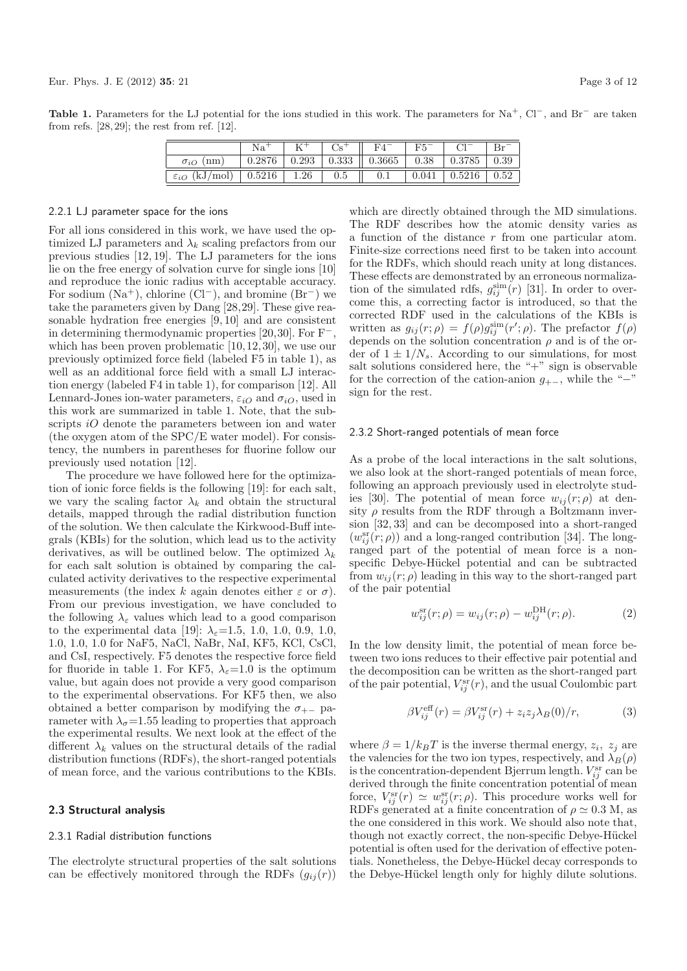Table 1. Parameters for the LJ potential for the ions studied in this work. The parameters for Na<sup>+</sup>, Cl<sup>−</sup>, and Br<sup>−</sup> are taken from refs. [28, 29]; the rest from ref. [12].

|                                                                         | $Na+$ | $Cs^+$ |                                                                       | $F5^-$ |                             | Br |
|-------------------------------------------------------------------------|-------|--------|-----------------------------------------------------------------------|--------|-----------------------------|----|
| $\sigma_{iO}$ (nm)                                                      |       |        | $0.2876$   $0.293$   $0.333$    $0.3665$   $0.38$   $0.3785$   $0.39$ |        |                             |    |
| $\frac{1}{\varepsilon_{i}^{(0)}}$ (kJ/mol) $\frac{0.5216}{0.5216}$ 1.26 |       | 0.5    | 0.1                                                                   |        | $0.041$   $0.5216$   $0.52$ |    |

### 2.2.1 LJ parameter space for the ions

For all ions considered in this work, we have used the optimized LJ parameters and  $\lambda_k$  scaling prefactors from our previous studies [12,19]. The LJ parameters for the ions lie on the free energy of solvation curve for single ions [10] and reproduce the ionic radius with acceptable accuracy. For sodium  $(Na^+)$ , chlorine  $(Cl^-)$ , and bromine  $(Br^-)$  we take the parameters given by Dang [28,29]. These give reasonable hydration free energies [9, 10] and are consistent in determining thermodynamic properties [20,30]. For F−, which has been proven problematic [10,12,30], we use our previously optimized force field (labeled F5 in table 1), as well as an additional force field with a small LJ interaction energy (labeled F4 in table 1), for comparison [12]. All Lennard-Jones ion-water parameters,  $\varepsilon_{iO}$  and  $\sigma_{iO}$ , used in this work are summarized in table 1. Note, that the subscripts *iO* denote the parameters between ion and water (the oxygen atom of the SPC/E water model). For consistency, the numbers in parentheses for fluorine follow our previously used notation [12].

The procedure we have followed here for the optimization of ionic force fields is the following [19]: for each salt, we vary the scaling factor  $\lambda_k$  and obtain the structural details, mapped through the radial distribution function of the solution. We then calculate the Kirkwood-Buff integrals (KBIs) for the solution, which lead us to the activity derivatives, as will be outlined below. The optimized  $\lambda_k$ for each salt solution is obtained by comparing the calculated activity derivatives to the respective experimental measurements (the index k again denotes either  $\varepsilon$  or  $\sigma$ ). From our previous investigation, we have concluded to the following  $\lambda_{\varepsilon}$  values which lead to a good comparison to the experimental data [19]:  $\lambda_{\epsilon} = 1.5, 1.0, 1.0, 0.9, 1.0,$ 1.0, 1.0, 1.0 for NaF5, NaCl, NaBr, NaI, KF5, KCl, CsCl, and CsI, respectively. F5 denotes the respective force field for fluoride in table 1. For KF5,  $\lambda_{\varepsilon}=1.0$  is the optimum value, but again does not provide a very good comparison to the experimental observations. For KF5 then, we also obtained a better comparison by modifying the  $\sigma_{+-}$  parameter with  $\lambda_{\sigma}$ =1.55 leading to properties that approach the experimental results. We next look at the effect of the different  $\lambda_k$  values on the structural details of the radial distribution functions (RDFs), the short-ranged potentials of mean force, and the various contributions to the KBIs.

### **2.3 Structural analysis**

### 2.3.1 Radial distribution functions

The electrolyte structural properties of the salt solutions can be effectively monitored through the RDFs  $(g_{ij}(r))$  which are directly obtained through the MD simulations. The RDF describes how the atomic density varies as a function of the distance r from one particular atom. Finite-size corrections need first to be taken into account for the RDFs, which should reach unity at long distances. These effects are demonstrated by an erroneous normalization of the simulated rdfs,  $g_{ij}^{\text{sim}}(r)$  [31]. In order to overcome this, a correcting factor is introduced, so that the corrected RDF used in the calculations of the KBIs is written as  $g_{ij}(r;\rho) = f(\rho)g_{ij}^{\text{sim}}(r';\rho)$ . The prefactor  $f(\rho)$ depends on the solution concentration  $\rho$  and is of the order of  $1 \pm 1/N_s$ . According to our simulations, for most salt solutions considered here, the "+" sign is observable for the correction of the cation-anion  $g_{+-}$ , while the "−" sign for the rest.

### 2.3.2 Short-ranged potentials of mean force

As a probe of the local interactions in the salt solutions, we also look at the short-ranged potentials of mean force, following an approach previously used in electrolyte studies [30]. The potential of mean force  $w_{ij}(r;\rho)$  at density  $\rho$  results from the RDF through a Boltzmann inversion [32, 33] and can be decomposed into a short-ranged  $(w_{ij}^{\rm sr}(r;\rho))$  and a long-ranged contribution [34]. The longranged part of the potential of mean force is a nonspecific Debye-Hückel potential and can be subtracted from  $w_{ij}(r;\rho)$  leading in this way to the short-ranged part of the pair potential

$$
w_{ij}^{\rm sr}(r;\rho) = w_{ij}(r;\rho) - w_{ij}^{\rm DH}(r;\rho).
$$
 (2)

In the low density limit, the potential of mean force between two ions reduces to their effective pair potential and the decomposition can be written as the short-ranged part of the pair potential,  $V_{ij}^{\rm sr}(r)$ , and the usual Coulombic part

$$
\beta V_{ij}^{\text{eff}}(r) = \beta V_{ij}^{\text{sr}}(r) + z_i z_j \lambda_B(0)/r, \tag{3}
$$

where  $\beta = 1/k_BT$  is the inverse thermal energy,  $z_i$ ,  $z_j$  are the valencies for the two ion types, respectively, and  $\lambda_B(\rho)$ is the concentration-dependent Bjerrum length.  $V_{ij}^{\text{sr}}$  can be derived through the finite concentration potential of mean force,  $V_{ij}^{\rm sr}(r) \simeq w_{ij}^{\rm sr}(r;\rho)$ . This procedure works well for RDFs generated at a finite concentration of  $\rho \simeq 0.3$  M, as the one considered in this work. We should also note that, though not exactly correct, the non-specific Debye-Hückel potential is often used for the derivation of effective potentials. Nonetheless, the Debye-Hückel decay corresponds to the Debye-Hückel length only for highly dilute solutions.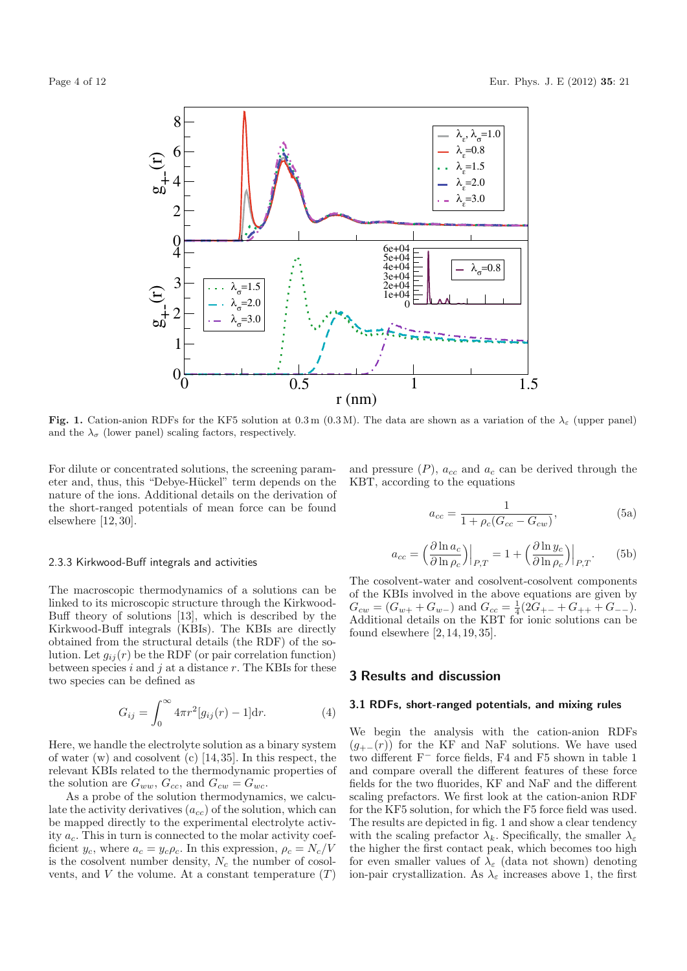

**Fig. 1.** Cation-anion RDFs for the KF5 solution at 0.3 m (0.3 M). The data are shown as a variation of the  $\lambda_{\varepsilon}$  (upper panel) and the  $\lambda_{\sigma}$  (lower panel) scaling factors, respectively.

For dilute or concentrated solutions, the screening parameter and, thus, this "Debye-Hückel" term depends on the nature of the ions. Additional details on the derivation of the short-ranged potentials of mean force can be found elsewhere [12,30].

# and pressure  $(P)$ ,  $a_{cc}$  and  $a_c$  can be derived through the KBT, according to the equations

$$
a_{cc} = \frac{1}{1 + \rho_c (G_{cc} - G_{cw})},
$$
(5a)

$$
a_{cc} = \left(\frac{\partial \ln a_c}{\partial \ln \rho_c}\right)\Big|_{P,T} = 1 + \left(\frac{\partial \ln y_c}{\partial \ln \rho_c}\right)\Big|_{P,T}.\tag{5b}
$$

The cosolvent-water and cosolvent-cosolvent components of the KBIs involved in the above equations are given by  $G_{cw} = (G_{w+} + G_{w-})$  and  $G_{cc} = \frac{1}{4}(2G_{+-} + G_{++} + G_{--}).$ Additional details on the KBT for ionic solutions can be found elsewhere [2,14,19,35].

# **3 Results and discussion**

### **3.1 RDFs, short-ranged potentials, and mixing rules**

We begin the analysis with the cation-anion RDFs  $(g_{+-}(r))$  for the KF and NaF solutions. We have used two different F<sup>−</sup> force fields, F4 and F5 shown in table 1 and compare overall the different features of these force fields for the two fluorides, KF and NaF and the different scaling prefactors. We first look at the cation-anion RDF for the KF5 solution, for which the F5 force field was used. The results are depicted in fig. 1 and show a clear tendency with the scaling prefactor  $\lambda_k$ . Specifically, the smaller  $\lambda_{\varepsilon}$ the higher the first contact peak, which becomes too high for even smaller values of  $\lambda_{\varepsilon}$  (data not shown) denoting ion-pair crystallization. As  $\lambda_{\varepsilon}$  increases above 1, the first

## 2.3.3 Kirkwood-Buff integrals and activities

The macroscopic thermodynamics of a solutions can be linked to its microscopic structure through the Kirkwood-Buff theory of solutions [13], which is described by the Kirkwood-Buff integrals (KBIs). The KBIs are directly obtained from the structural details (the RDF) of the solution. Let  $g_{ij}(r)$  be the RDF (or pair correlation function) between species  $i$  and  $j$  at a distance  $r$ . The KBIs for these two species can be defined as

$$
G_{ij} = \int_0^\infty 4\pi r^2 [g_{ij}(r) - 1] \mathrm{d}r. \tag{4}
$$

Here, we handle the electrolyte solution as a binary system of water (w) and cosolvent (c) [14,35]. In this respect, the relevant KBIs related to the thermodynamic properties of the solution are  $G_{ww}$ ,  $G_{cc}$ , and  $G_{cw} = G_{wc}$ .

As a probe of the solution thermodynamics, we calculate the activity derivatives  $(a_{cc})$  of the solution, which can be mapped directly to the experimental electrolyte activity  $a_c$ . This in turn is connected to the molar activity coefficient  $y_c$ , where  $a_c = y_c \rho_c$ . In this expression,  $\rho_c = N_c/V$ is the cosolvent number density,  $N_c$  the number of cosolvents, and V the volume. At a constant temperature  $(T)$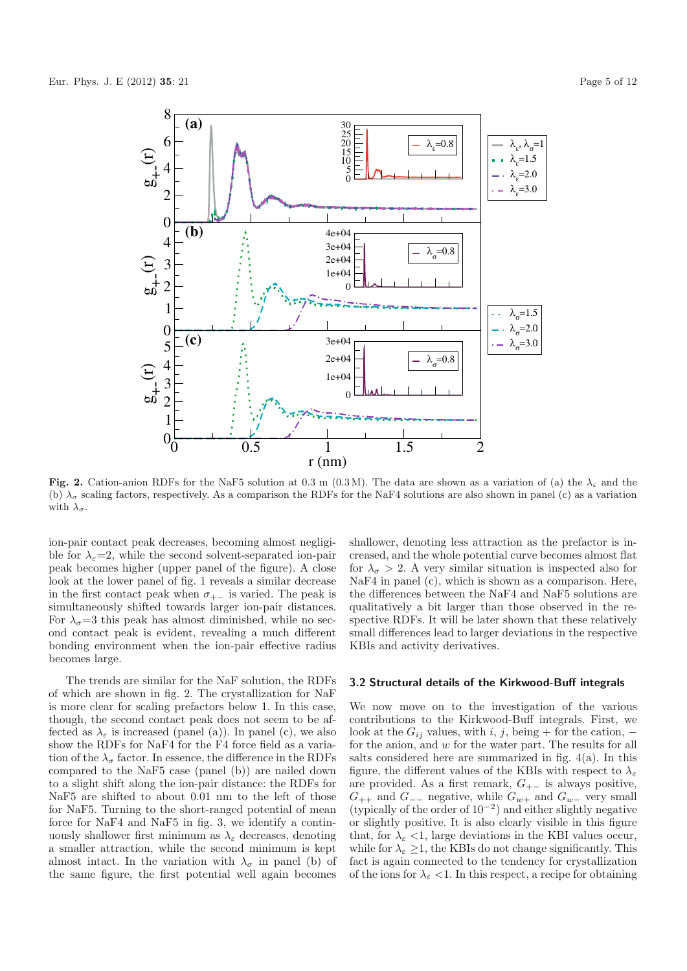

**Fig. 2.** Cation-anion RDFs for the NaF5 solution at 0.3 m (0.3 M). The data are shown as a variation of (a) the  $\lambda_{\varepsilon}$  and the (b)  $\lambda_{\sigma}$  scaling factors, respectively. As a comparison the RDFs for the NaF4 solutions are also shown in panel (c) as a variation with  $\lambda_{\sigma}$ .

ion-pair contact peak decreases, becoming almost negligible for  $\lambda_{\varepsilon}=2$ , while the second solvent-separated ion-pair peak becomes higher (upper panel of the figure). A close look at the lower panel of fig. 1 reveals a similar decrease in the first contact peak when  $\sigma_{+-}$  is varied. The peak is simultaneously shifted towards larger ion-pair distances. For  $\lambda_{\sigma}=3$  this peak has almost diminished, while no second contact peak is evident, revealing a much different bonding environment when the ion-pair effective radius becomes large.

The trends are similar for the NaF solution, the RDFs of which are shown in fig. 2. The crystallization for NaF is more clear for scaling prefactors below 1. In this case, though, the second contact peak does not seem to be affected as  $\lambda_{\varepsilon}$  is increased (panel (a)). In panel (c), we also show the RDFs for NaF4 for the F4 force field as a variation of the  $\lambda_{\sigma}$  factor. In essence, the difference in the RDFs compared to the NaF5 case (panel (b)) are nailed down to a slight shift along the ion-pair distance: the RDFs for NaF5 are shifted to about 0.01 nm to the left of those for NaF5. Turning to the short-ranged potential of mean force for NaF4 and NaF5 in fig. 3, we identify a continuously shallower first minimum as  $\lambda_{\varepsilon}$  decreases, denoting a smaller attraction, while the second minimum is kept almost intact. In the variation with  $\lambda_{\sigma}$  in panel (b) of the same figure, the first potential well again becomes

shallower, denoting less attraction as the prefactor is increased, and the whole potential curve becomes almost flat for  $\lambda_{\sigma} > 2$ . A very similar situation is inspected also for NaF4 in panel (c), which is shown as a comparison. Here, the differences between the NaF4 and NaF5 solutions are qualitatively a bit larger than those observed in the respective RDFs. It will be later shown that these relatively small differences lead to larger deviations in the respective KBIs and activity derivatives.

### **3.2 Structural details of the Kirkwood-Buff integrals**

We now move on to the investigation of the various contributions to the Kirkwood-Buff integrals. First, we look at the  $G_{ij}$  values, with i, j, being + for the cation, – for the anion, and w for the water part. The results for all salts considered here are summarized in fig. 4(a). In this figure, the different values of the KBIs with respect to  $\lambda_{\varepsilon}$ are provided. As a first remark,  $G_{+-}$  is always positive,  $G_{++}$  and  $G_{--}$  negative, while  $G_{w+}$  and  $G_{w-}$  very small (typically of the order of  $10^{-2}$ ) and either slightly negative or slightly positive. It is also clearly visible in this figure that, for  $\lambda_{\varepsilon}$  <1, large deviations in the KBI values occur, while for  $\lambda_{\varepsilon} \geq 1$ , the KBIs do not change significantly. This fact is again connected to the tendency for crystallization of the ions for  $\lambda_{\varepsilon}$  < 1. In this respect, a recipe for obtaining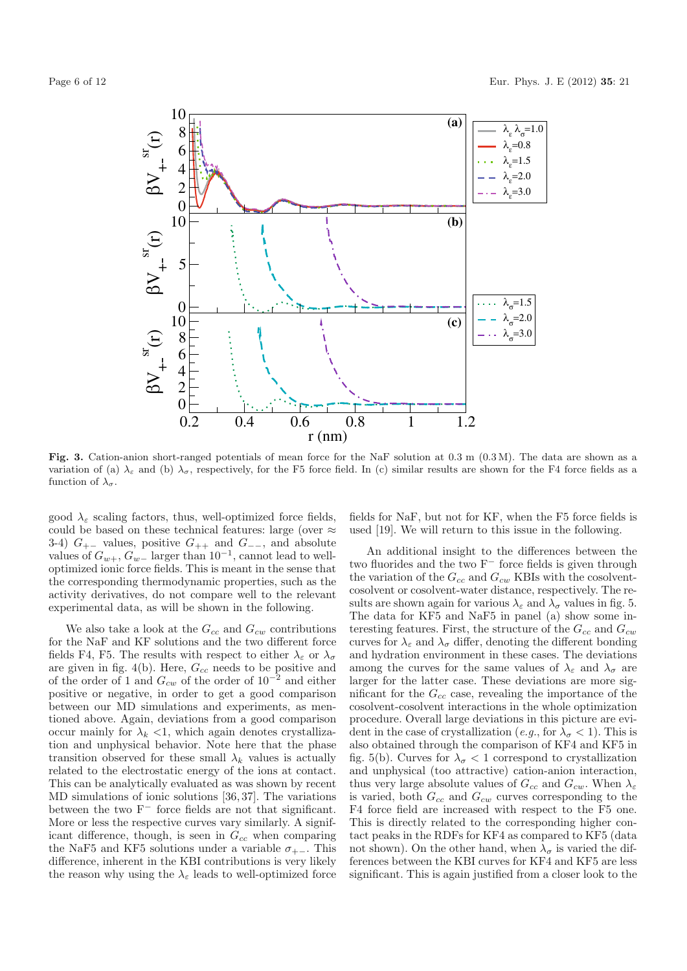

**Fig. 3.** Cation-anion short-ranged potentials of mean force for the NaF solution at 0.3 m (0.3 M). The data are shown as a variation of (a)  $\lambda_{\varepsilon}$  and (b)  $\lambda_{\sigma}$ , respectively, for the F5 force field. In (c) similar results are shown for the F4 force fields as a function of  $\lambda_{\sigma}$ .

good  $\lambda_{\varepsilon}$  scaling factors, thus, well-optimized force fields, could be based on these technical features: large (over  $\approx$ 3-4)  $G_{+-}$  values, positive  $G_{++}$  and  $G_{--}$ , and absolute values of  $G_{w+}$ ,  $G_{w-}$  larger than  $10^{-1}$ , cannot lead to welloptimized ionic force fields. This is meant in the sense that the corresponding thermodynamic properties, such as the activity derivatives, do not compare well to the relevant experimental data, as will be shown in the following.

We also take a look at the  $G_{cc}$  and  $G_{cw}$  contributions for the NaF and KF solutions and the two different force fields F4, F5. The results with respect to either  $\lambda_{\varepsilon}$  or  $\lambda_{\sigma}$ are given in fig.  $4(b)$ . Here,  $G_{cc}$  needs to be positive and of the order of 1 and  $G_{cw}$  of the order of  $10^{-2}$  and either positive or negative, in order to get a good comparison between our MD simulations and experiments, as mentioned above. Again, deviations from a good comparison occur mainly for  $\lambda_k$  <1, which again denotes crystallization and unphysical behavior. Note here that the phase transition observed for these small  $\lambda_k$  values is actually related to the electrostatic energy of the ions at contact. This can be analytically evaluated as was shown by recent MD simulations of ionic solutions [36,37]. The variations between the two F<sup>−</sup> force fields are not that significant. More or less the respective curves vary similarly. A significant difference, though, is seen in  $G_{cc}$  when comparing the NaF5 and KF5 solutions under a variable  $\sigma_{+-}$ . This difference, inherent in the KBI contributions is very likely the reason why using the  $\lambda_{\varepsilon}$  leads to well-optimized force fields for NaF, but not for KF, when the F5 force fields is used [19]. We will return to this issue in the following.

An additional insight to the differences between the two fluorides and the two F<sup>−</sup> force fields is given through the variation of the  $G_{cc}$  and  $G_{cw}$  KBIs with the cosolventcosolvent or cosolvent-water distance, respectively. The results are shown again for various  $\lambda_{\varepsilon}$  and  $\lambda_{\sigma}$  values in fig. 5. The data for KF5 and NaF5 in panel (a) show some interesting features. First, the structure of the  $G_{cc}$  and  $G_{cw}$ curves for  $\lambda_{\varepsilon}$  and  $\lambda_{\sigma}$  differ, denoting the different bonding and hydration environment in these cases. The deviations among the curves for the same values of  $\lambda_{\varepsilon}$  and  $\lambda_{\sigma}$  are larger for the latter case. These deviations are more significant for the  $G_{cc}$  case, revealing the importance of the cosolvent-cosolvent interactions in the whole optimization procedure. Overall large deviations in this picture are evident in the case of crystallization (e.g., for  $\lambda_{\sigma} < 1$ ). This is also obtained through the comparison of KF4 and KF5 in fig. 5(b). Curves for  $\lambda_{\sigma}$  < 1 correspond to crystallization and unphysical (too attractive) cation-anion interaction, thus very large absolute values of  $G_{cc}$  and  $G_{cw}$ . When  $\lambda_{\varepsilon}$ is varied, both  $G_{cc}$  and  $G_{cw}$  curves corresponding to the F4 force field are increased with respect to the F5 one. This is directly related to the corresponding higher contact peaks in the RDFs for KF4 as compared to KF5 (data not shown). On the other hand, when  $\lambda_{\sigma}$  is varied the differences between the KBI curves for KF4 and KF5 are less significant. This is again justified from a closer look to the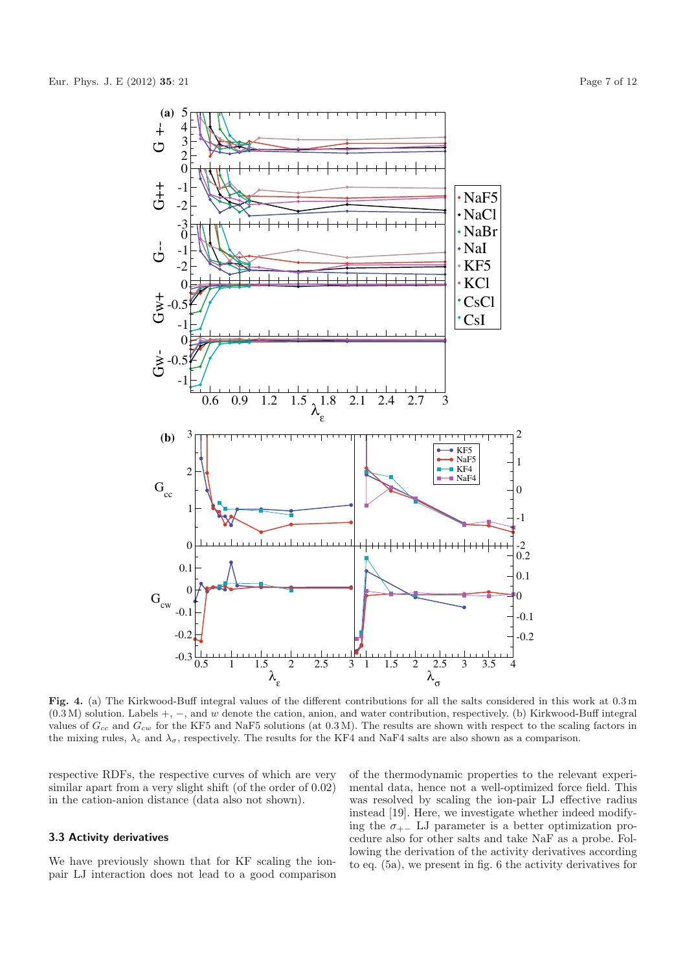

**Fig. 4.** (a) The Kirkwood-Buff integral values of the different contributions for all the salts considered in this work at 0.3 m (0.3 M) solution. Labels +, −, and w denote the cation, anion, and water contribution, respectively. (b) Kirkwood-Buff integral values of  $G_{cc}$  and  $G_{cw}$  for the KF5 and NaF5 solutions (at 0.3 M). The results are shown with respect to the scaling factors in the mixing rules,  $\lambda_{\varepsilon}$  and  $\lambda_{\sigma}$ , respectively. The results for the KF4 and NaF4 salts are also shown as a comparison.

respective RDFs, the respective curves of which are very similar apart from a very slight shift (of the order of 0.02) in the cation-anion distance (data also not shown).

## **3.3 Activity derivatives**

We have previously shown that for KF scaling the ionpair LJ interaction does not lead to a good comparison of the thermodynamic properties to the relevant experimental data, hence not a well-optimized force field. This was resolved by scaling the ion-pair LJ effective radius instead [19]. Here, we investigate whether indeed modifying the  $\sigma_{+-}$  LJ parameter is a better optimization procedure also for other salts and take NaF as a probe. Following the derivation of the activity derivatives according to eq. (5a), we present in fig. 6 the activity derivatives for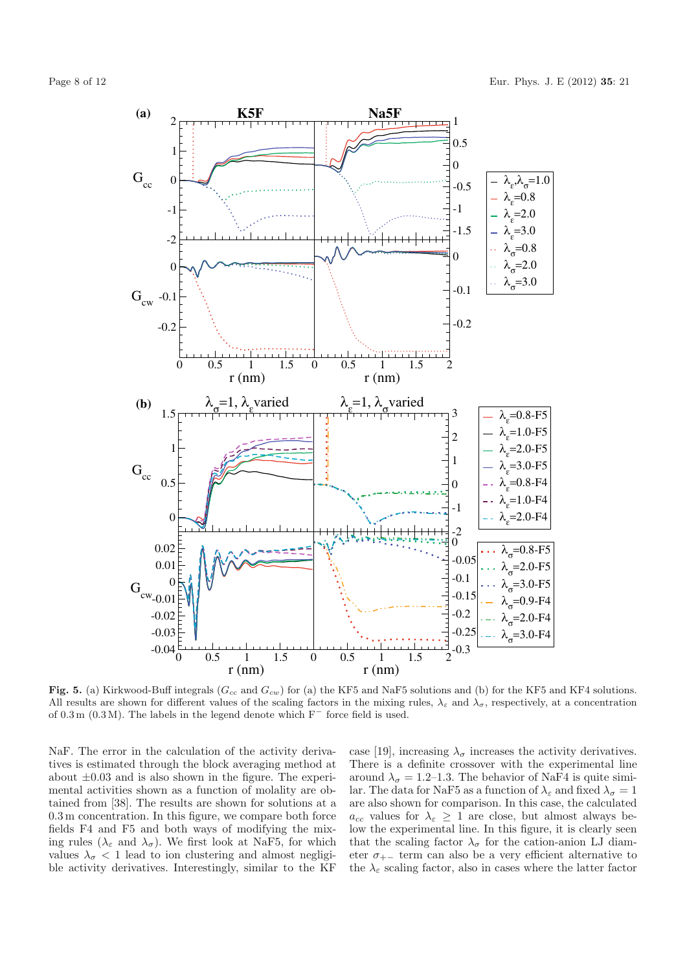

Fig. 5. (a) Kirkwood-Buff integrals ( $G_{cc}$  and  $G_{cw}$ ) for (a) the KF5 and NaF5 solutions and (b) for the KF5 and KF4 solutions. All results are shown for different values of the scaling factors in the mixing rules,  $\lambda_{\varepsilon}$  and  $\lambda_{\sigma}$ , respectively, at a concentration of 0.3 m (0.3 M). The labels in the legend denote which F<sup>−</sup> force field is used.

NaF. The error in the calculation of the activity derivatives is estimated through the block averaging method at about  $\pm 0.03$  and is also shown in the figure. The experimental activities shown as a function of molality are obtained from [38]. The results are shown for solutions at a 0.3 m concentration. In this figure, we compare both force fields F4 and F5 and both ways of modifying the mixing rules  $(\lambda_{\varepsilon}$  and  $\lambda_{\sigma})$ . We first look at NaF5, for which values  $\lambda_{\sigma}$  < 1 lead to ion clustering and almost negligible activity derivatives. Interestingly, similar to the KF

case [19], increasing  $\lambda_{\sigma}$  increases the activity derivatives. There is a definite crossover with the experimental line around  $\lambda_{\sigma} = 1.2{\text -}1.3$ . The behavior of NaF4 is quite similar. The data for NaF5 as a function of  $\lambda_{\varepsilon}$  and fixed  $\lambda_{\sigma} = 1$ are also shown for comparison. In this case, the calculated  $a_{cc}$  values for  $\lambda_{\varepsilon} \geq 1$  are close, but almost always below the experimental line. In this figure, it is clearly seen that the scaling factor  $\lambda_{\sigma}$  for the cation-anion LJ diameter  $\sigma_{+-}$  term can also be a very efficient alternative to the  $\lambda_{\varepsilon}$  scaling factor, also in cases where the latter factor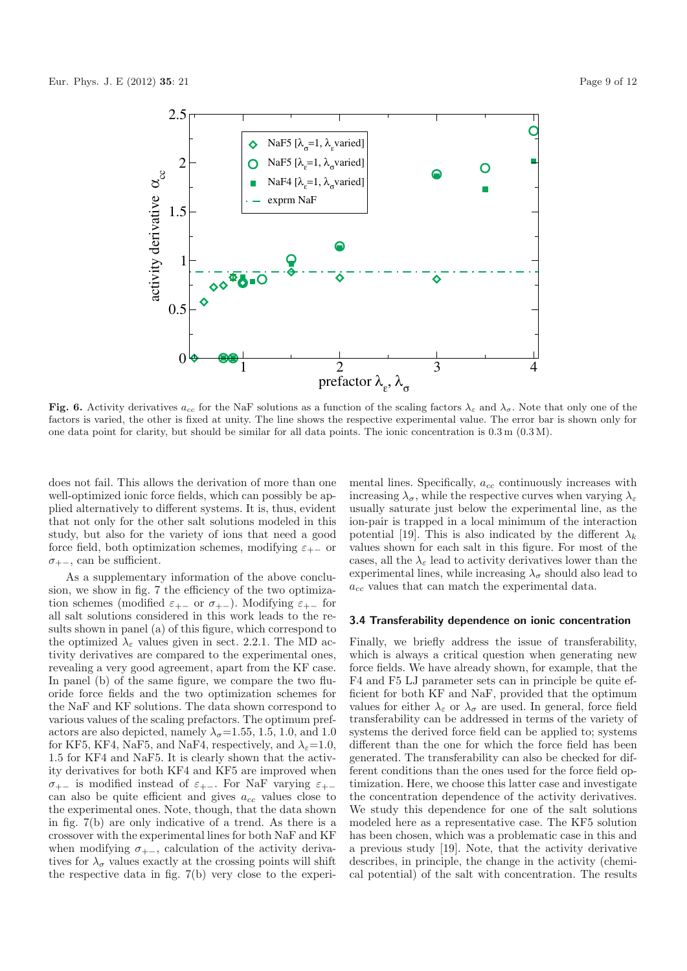

**Fig. 6.** Activity derivatives  $a_{cc}$  for the NaF solutions as a function of the scaling factors  $\lambda_{\varepsilon}$  and  $\lambda_{\sigma}$ . Note that only one of the factors is varied, the other is fixed at unity. The line shows the respective experimental value. The error bar is shown only for one data point for clarity, but should be similar for all data points. The ionic concentration is 0.3 m (0.3 M).

does not fail. This allows the derivation of more than one well-optimized ionic force fields, which can possibly be applied alternatively to different systems. It is, thus, evident that not only for the other salt solutions modeled in this study, but also for the variety of ions that need a good force field, both optimization schemes, modifying  $\varepsilon_{+}$  or  $\sigma_{+-}$ , can be sufficient.

As a supplementary information of the above conclusion, we show in fig. 7 the efficiency of the two optimization schemes (modified  $\varepsilon_{+-}$  or  $\sigma_{+-}$ ). Modifying  $\varepsilon_{+-}$  for all salt solutions considered in this work leads to the results shown in panel (a) of this figure, which correspond to the optimized  $\lambda_{\varepsilon}$  values given in sect. 2.2.1. The MD activity derivatives are compared to the experimental ones, revealing a very good agreement, apart from the KF case. In panel (b) of the same figure, we compare the two fluoride force fields and the two optimization schemes for the NaF and KF solutions. The data shown correspond to various values of the scaling prefactors. The optimum prefactors are also depicted, namely  $\lambda_{\sigma} = 1.55, 1.5, 1.0,$  and 1.0 for KF5, KF4, NaF5, and NaF4, respectively, and  $\lambda_{\epsilon}=1.0$ , 1.5 for KF4 and NaF5. It is clearly shown that the activity derivatives for both KF4 and KF5 are improved when  $\sigma_{+-}$  is modified instead of  $\varepsilon_{+-}$ . For NaF varying  $\varepsilon_{+-}$ can also be quite efficient and gives  $a_{cc}$  values close to the experimental ones. Note, though, that the data shown in fig. 7(b) are only indicative of a trend. As there is a crossover with the experimental lines for both NaF and KF when modifying  $\sigma_{+-}$ , calculation of the activity derivatives for  $\lambda_{\sigma}$  values exactly at the crossing points will shift the respective data in fig. 7(b) very close to the experimental lines. Specifically,  $a_{cc}$  continuously increases with increasing  $\lambda_{\sigma}$ , while the respective curves when varying  $\lambda_{\varepsilon}$ usually saturate just below the experimental line, as the ion-pair is trapped in a local minimum of the interaction potential [19]. This is also indicated by the different  $\lambda_k$ values shown for each salt in this figure. For most of the cases, all the  $\lambda_{\varepsilon}$  lead to activity derivatives lower than the experimental lines, while increasing  $\lambda_{\sigma}$  should also lead to  $a_{cc}$  values that can match the experimental data.

### **3.4 Transferability dependence on ionic concentration**

Finally, we briefly address the issue of transferability, which is always a critical question when generating new force fields. We have already shown, for example, that the F4 and F5 LJ parameter sets can in principle be quite efficient for both KF and NaF, provided that the optimum values for either  $\lambda_{\varepsilon}$  or  $\lambda_{\sigma}$  are used. In general, force field transferability can be addressed in terms of the variety of systems the derived force field can be applied to; systems different than the one for which the force field has been generated. The transferability can also be checked for different conditions than the ones used for the force field optimization. Here, we choose this latter case and investigate the concentration dependence of the activity derivatives. We study this dependence for one of the salt solutions modeled here as a representative case. The KF5 solution has been chosen, which was a problematic case in this and a previous study [19]. Note, that the activity derivative describes, in principle, the change in the activity (chemical potential) of the salt with concentration. The results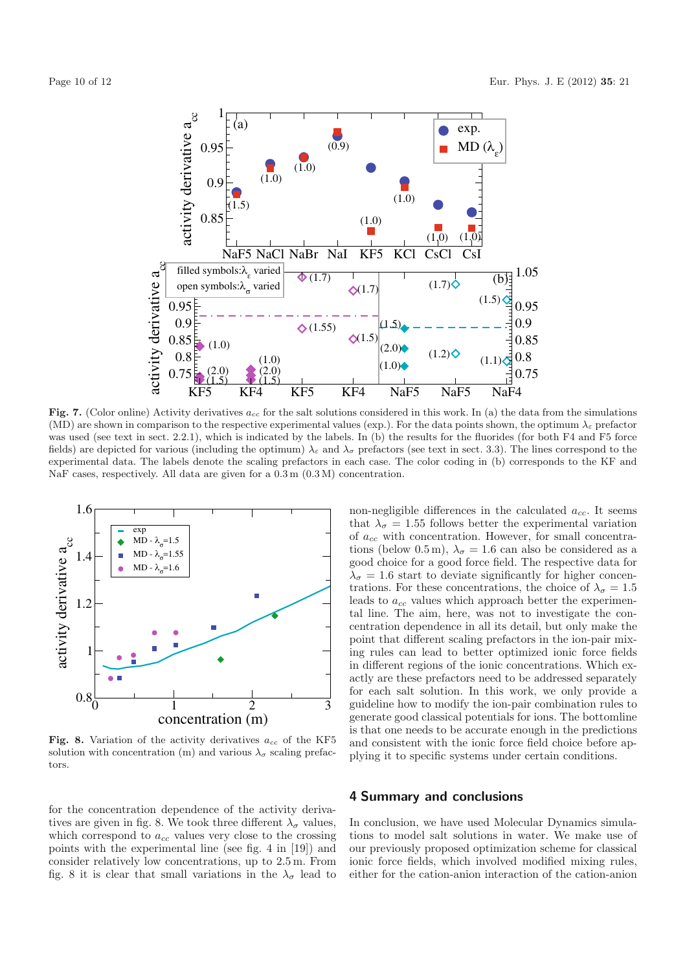

**Fig. 7.** (Color online) Activity derivatives  $a_{cc}$  for the salt solutions considered in this work. In (a) the data from the simulations (MD) are shown in comparison to the respective experimental values (exp.). For the data points shown, the optimum  $\lambda_{\varepsilon}$  prefactor was used (see text in sect. 2.2.1), which is indicated by the labels. In (b) the results for the fluorides (for both F4 and F5 force fields) are depicted for various (including the optimum)  $\lambda_{\varepsilon}$  and  $\lambda_{\sigma}$  prefactors (see text in sect. 3.3). The lines correspond to the experimental data. The labels denote the scaling prefactors in each case. The color coding in (b) corresponds to the KF and NaF cases, respectively. All data are given for a  $0.3 \text{ m } (0.3 \text{ M})$  concentration.



**Fig. 8.** Variation of the activity derivatives  $a_{cc}$  of the KF5 solution with concentration (m) and various  $\lambda_{\sigma}$  scaling prefactors.

for the concentration dependence of the activity derivatives are given in fig. 8. We took three different  $\lambda_{\sigma}$  values, which correspond to  $a_{cc}$  values very close to the crossing points with the experimental line (see fig. 4 in [19]) and consider relatively low concentrations, up to 2.5 m. From fig. 8 it is clear that small variations in the  $\lambda_{\sigma}$  lead to non-negligible differences in the calculated  $a_{cc}$ . It seems that  $\lambda_{\sigma} = 1.55$  follows better the experimental variation of  $a_{cc}$  with concentration. However, for small concentrations (below 0.5 m),  $\lambda_{\sigma} = 1.6$  can also be considered as a good choice for a good force field. The respective data for  $\lambda_{\sigma} = 1.6$  start to deviate significantly for higher concentrations. For these concentrations, the choice of  $\lambda_{\sigma} = 1.5$ leads to  $a_{cc}$  values which approach better the experimental line. The aim, here, was not to investigate the concentration dependence in all its detail, but only make the point that different scaling prefactors in the ion-pair mixing rules can lead to better optimized ionic force fields in different regions of the ionic concentrations. Which exactly are these prefactors need to be addressed separately for each salt solution. In this work, we only provide a guideline how to modify the ion-pair combination rules to generate good classical potentials for ions. The bottomline is that one needs to be accurate enough in the predictions and consistent with the ionic force field choice before applying it to specific systems under certain conditions.

# **4 Summary and conclusions**

In conclusion, we have used Molecular Dynamics simulations to model salt solutions in water. We make use of our previously proposed optimization scheme for classical ionic force fields, which involved modified mixing rules, either for the cation-anion interaction of the cation-anion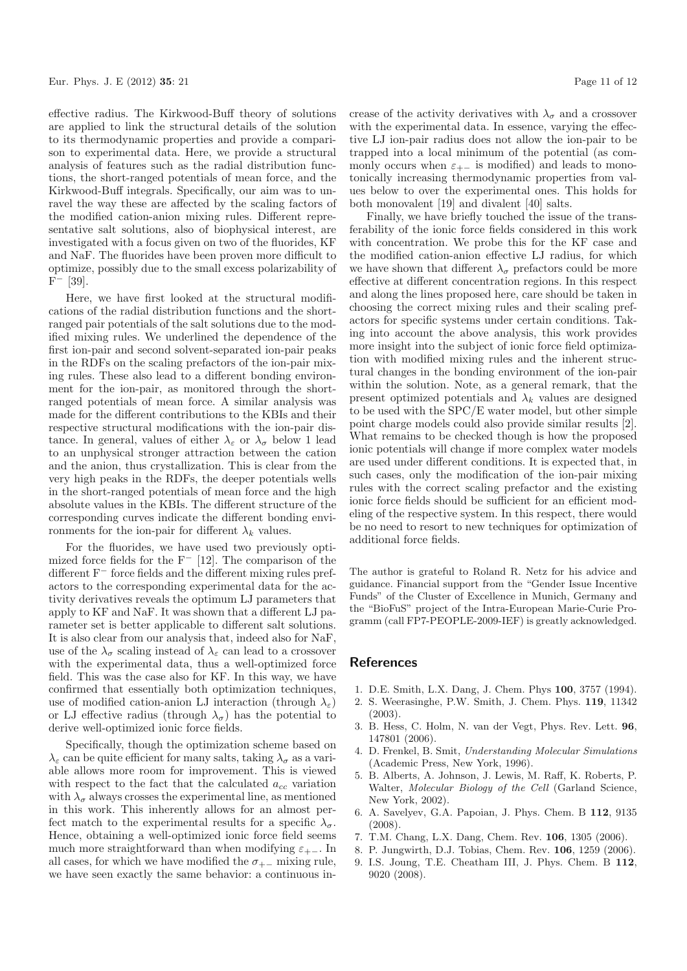effective radius. The Kirkwood-Buff theory of solutions are applied to link the structural details of the solution to its thermodynamic properties and provide a comparison to experimental data. Here, we provide a structural analysis of features such as the radial distribution functions, the short-ranged potentials of mean force, and the Kirkwood-Buff integrals. Specifically, our aim was to unravel the way these are affected by the scaling factors of the modified cation-anion mixing rules. Different representative salt solutions, also of biophysical interest, are investigated with a focus given on two of the fluorides, KF and NaF. The fluorides have been proven more difficult to optimize, possibly due to the small excess polarizability of  $F^-$  [39].

Here, we have first looked at the structural modifications of the radial distribution functions and the shortranged pair potentials of the salt solutions due to the modified mixing rules. We underlined the dependence of the first ion-pair and second solvent-separated ion-pair peaks in the RDFs on the scaling prefactors of the ion-pair mixing rules. These also lead to a different bonding environment for the ion-pair, as monitored through the shortranged potentials of mean force. A similar analysis was made for the different contributions to the KBIs and their respective structural modifications with the ion-pair distance. In general, values of either  $\lambda_{\varepsilon}$  or  $\lambda_{\sigma}$  below 1 lead to an unphysical stronger attraction between the cation and the anion, thus crystallization. This is clear from the very high peaks in the RDFs, the deeper potentials wells in the short-ranged potentials of mean force and the high absolute values in the KBIs. The different structure of the corresponding curves indicate the different bonding environments for the ion-pair for different  $\lambda_k$  values.

For the fluorides, we have used two previously optimized force fields for the F<sup>−</sup> [12]. The comparison of the different F<sup>−</sup> force fields and the different mixing rules prefactors to the corresponding experimental data for the activity derivatives reveals the optimum LJ parameters that apply to KF and NaF. It was shown that a different LJ parameter set is better applicable to different salt solutions. It is also clear from our analysis that, indeed also for NaF, use of the  $\lambda_{\sigma}$  scaling instead of  $\lambda_{\varepsilon}$  can lead to a crossover with the experimental data, thus a well-optimized force field. This was the case also for KF. In this way, we have confirmed that essentially both optimization techniques, use of modified cation-anion LJ interaction (through  $\lambda_{\varepsilon}$ ) or LJ effective radius (through  $\lambda_{\sigma}$ ) has the potential to derive well-optimized ionic force fields.

Specifically, though the optimization scheme based on  $\lambda_{\varepsilon}$  can be quite efficient for many salts, taking  $\lambda_{\sigma}$  as a variable allows more room for improvement. This is viewed with respect to the fact that the calculated  $a_{cc}$  variation with  $\lambda_{\sigma}$  always crosses the experimental line, as mentioned in this work. This inherently allows for an almost perfect match to the experimental results for a specific  $\lambda_{\sigma}$ . Hence, obtaining a well-optimized ionic force field seems much more straightforward than when modifying  $\varepsilon_{+-}$ . In all cases, for which we have modified the  $\sigma_{+-}$  mixing rule, we have seen exactly the same behavior: a continuous increase of the activity derivatives with  $\lambda_{\sigma}$  and a crossover with the experimental data. In essence, varying the effective LJ ion-pair radius does not allow the ion-pair to be trapped into a local minimum of the potential (as commonly occurs when  $\varepsilon_{+-}$  is modified) and leads to monotonically increasing thermodynamic properties from values below to over the experimental ones. This holds for both monovalent [19] and divalent [40] salts.

Finally, we have briefly touched the issue of the transferability of the ionic force fields considered in this work with concentration. We probe this for the KF case and the modified cation-anion effective LJ radius, for which we have shown that different  $\lambda_{\sigma}$  prefactors could be more effective at different concentration regions. In this respect and along the lines proposed here, care should be taken in choosing the correct mixing rules and their scaling prefactors for specific systems under certain conditions. Taking into account the above analysis, this work provides more insight into the subject of ionic force field optimization with modified mixing rules and the inherent structural changes in the bonding environment of the ion-pair within the solution. Note, as a general remark, that the present optimized potentials and  $\lambda_k$  values are designed to be used with the SPC/E water model, but other simple point charge models could also provide similar results [2]. What remains to be checked though is how the proposed ionic potentials will change if more complex water models are used under different conditions. It is expected that, in such cases, only the modification of the ion-pair mixing rules with the correct scaling prefactor and the existing ionic force fields should be sufficient for an efficient modeling of the respective system. In this respect, there would be no need to resort to new techniques for optimization of additional force fields.

The author is grateful to Roland R. Netz for his advice and guidance. Financial support from the "Gender Issue Incentive Funds" of the Cluster of Excellence in Munich, Germany and the "BioFuS" project of the Intra-European Marie-Curie Programm (call FP7-PEOPLE-2009-IEF) is greatly acknowledged.

# **References**

- 1. D.E. Smith, L.X. Dang, J. Chem. Phys **100**, 3757 (1994).
- 2. S. Weerasinghe, P.W. Smith, J. Chem. Phys. **119**, 11342
- (2003). 3. B. Hess, C. Holm, N. van der Vegt, Phys. Rev. Lett. **96**, 147801 (2006).
- 4. D. Frenkel, B. Smit, Understanding Molecular Simulations (Academic Press, New York, 1996).
- 5. B. Alberts, A. Johnson, J. Lewis, M. Raff, K. Roberts, P. Walter, Molecular Biology of the Cell (Garland Science, New York, 2002).
- 6. A. Savelyev, G.A. Papoian, J. Phys. Chem. B **112**, 9135 (2008).
- 7. T.M. Chang, L.X. Dang, Chem. Rev. **106**, 1305 (2006).
- 8. P. Jungwirth, D.J. Tobias, Chem. Rev. **106**, 1259 (2006).
- 9. I.S. Joung, T.E. Cheatham III, J. Phys. Chem. B **112**, 9020 (2008).